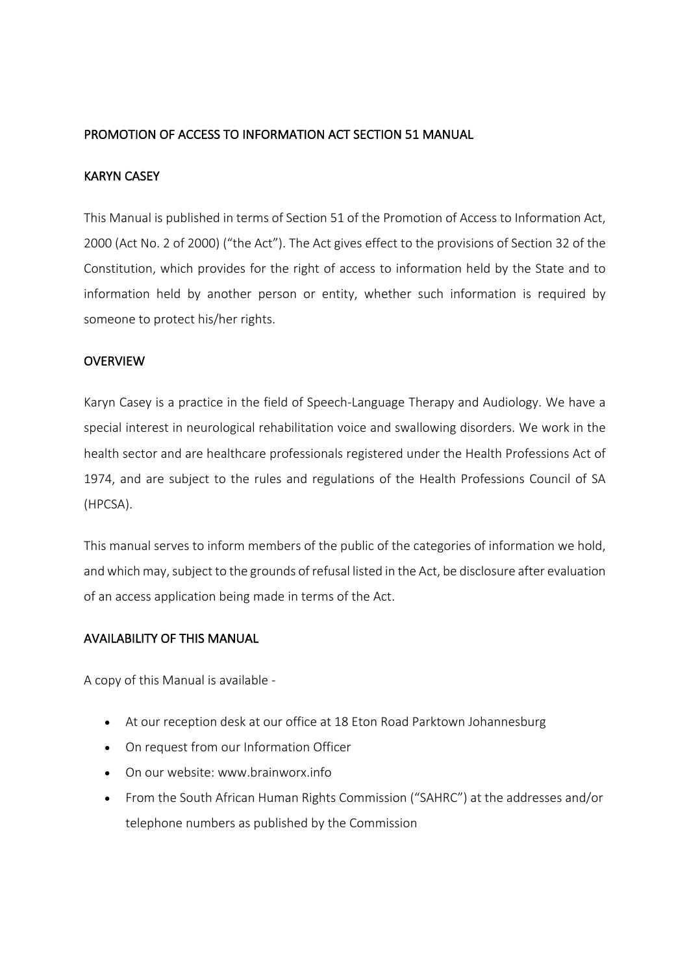# PROMOTION OF ACCESS TO INFORMATION ACT SECTION 51 MANUAL

#### KARYN CASEY

This Manual is published in terms of Section 51 of the Promotion of Access to Information Act, 2000 (Act No. 2 of 2000) ("the Act"). The Act gives effect to the provisions of Section 32 of the Constitution, which provides for the right of access to information held by the State and to information held by another person or entity, whether such information is required by someone to protect his/her rights.

#### OVERVIEW

Karyn Casey is a practice in the field of Speech-Language Therapy and Audiology. We have a special interest in neurological rehabilitation voice and swallowing disorders. We work in the health sector and are healthcare professionals registered under the Health Professions Act of 1974, and are subject to the rules and regulations of the Health Professions Council of SA (HPCSA).

This manual serves to inform members of the public of the categories of information we hold, and which may, subject to the grounds of refusal listed in the Act, be disclosure after evaluation of an access application being made in terms of the Act.

#### AVAILABILITY OF THIS MANUAL

A copy of this Manual is available -

- At our reception desk at our office at 18 Eton Road Parktown Johannesburg
- On request from our Information Officer
- On our website: www.brainworx.info
- From the South African Human Rights Commission ("SAHRC") at the addresses and/or telephone numbers as published by the Commission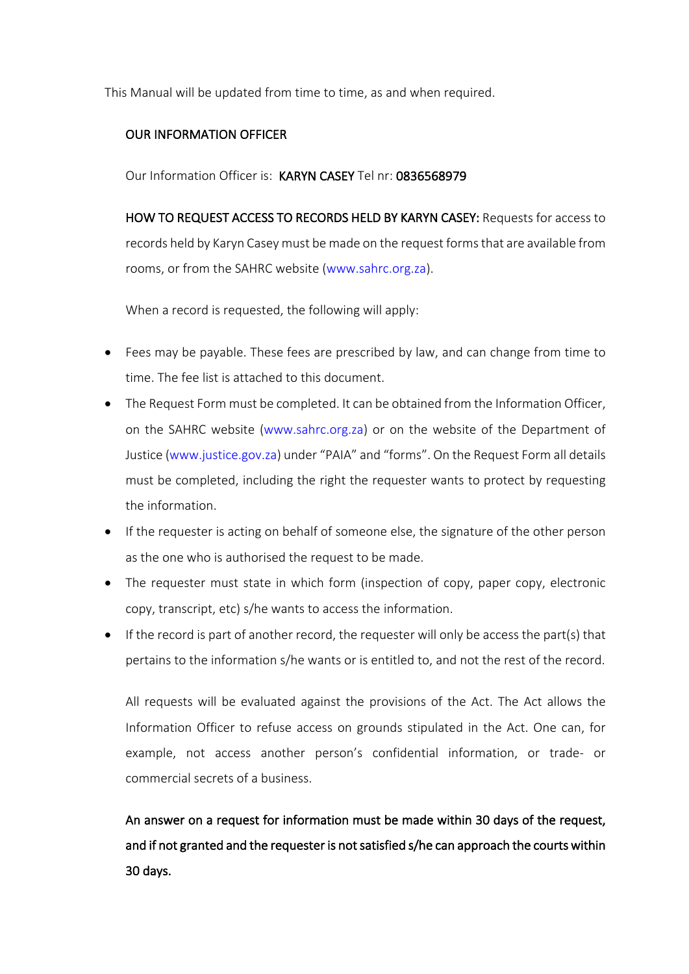This Manual will be updated from time to time, as and when required.

# OUR INFORMATION OFFICER

Our Information Officer is: KARYN CASEY Tel nr: 0836568979

HOW TO REQUEST ACCESS TO RECORDS HELD BY KARYN CASEY: Requests for access to records held by Karyn Casey must be made on the request forms that are available from rooms, or from the SAHRC website (www.sahrc.org.za).

When a record is requested, the following will apply:

- Fees may be payable. These fees are prescribed by law, and can change from time to time. The fee list is attached to this document.
- The Request Form must be completed. It can be obtained from the Information Officer, on the SAHRC website (www.sahrc.org.za) or on the website of the Department of Justice (www.justice.gov.za) under "PAIA" and "forms". On the Request Form all details must be completed, including the right the requester wants to protect by requesting the information.
- If the requester is acting on behalf of someone else, the signature of the other person as the one who is authorised the request to be made.
- The requester must state in which form (inspection of copy, paper copy, electronic copy, transcript, etc) s/he wants to access the information.
- If the record is part of another record, the requester will only be access the part(s) that pertains to the information s/he wants or is entitled to, and not the rest of the record.

All requests will be evaluated against the provisions of the Act. The Act allows the Information Officer to refuse access on grounds stipulated in the Act. One can, for example, not access another person's confidential information, or trade- or commercial secrets of a business.

An answer on a request for information must be made within 30 days of the request, and if not granted and the requester is not satisfied s/he can approach the courts within 30 days.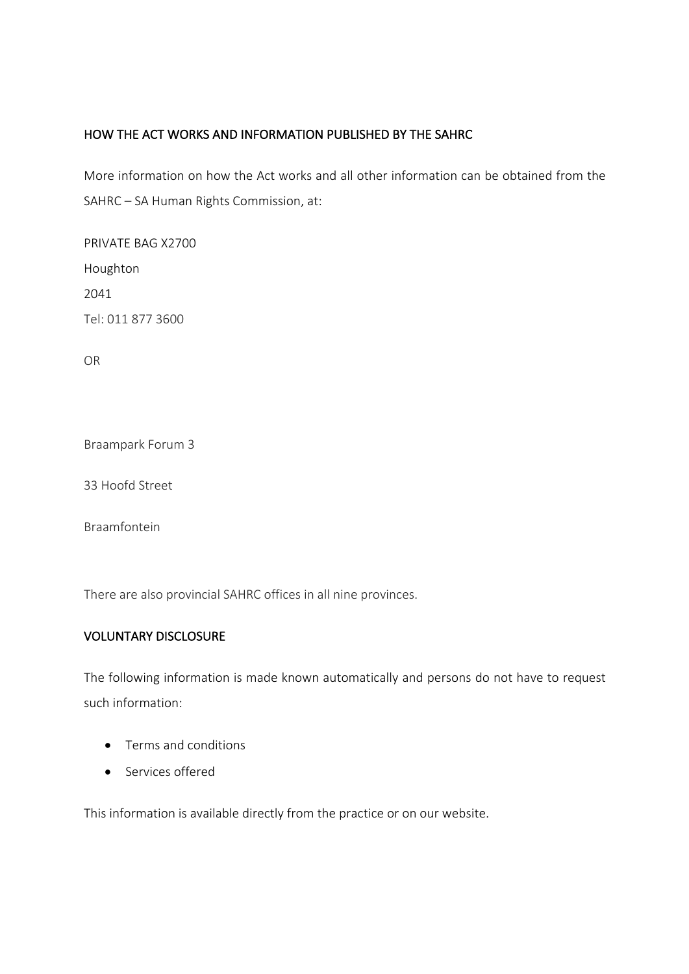# HOW THE ACT WORKS AND INFORMATION PUBLISHED BY THE SAHRC

More information on how the Act works and all other information can be obtained from the SAHRC – SA Human Rights Commission, at:

PRIVATE BAG X2700 Houghton 2041 Tel: 011 877 3600

OR

Braampark Forum 3

33 Hoofd Street

Braamfontein

There are also provincial SAHRC offices in all nine provinces.

### VOLUNTARY DISCLOSURE

The following information is made known automatically and persons do not have to request such information:

- Terms and conditions
- Services offered

This information is available directly from the practice or on our website.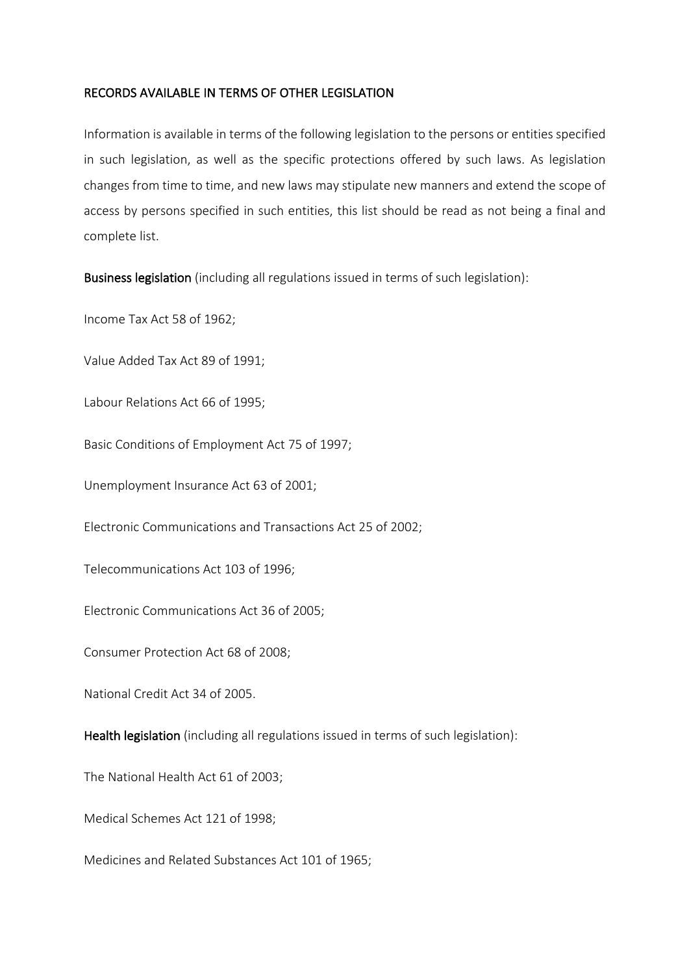### RECORDS AVAILABLE IN TERMS OF OTHER LEGISLATION

Information is available in terms of the following legislation to the persons or entities specified in such legislation, as well as the specific protections offered by such laws. As legislation changes from time to time, and new laws may stipulate new manners and extend the scope of access by persons specified in such entities, this list should be read as not being a final and complete list.

Business legislation (including all regulations issued in terms of such legislation):

Income Tax Act 58 of 1962;

Value Added Tax Act 89 of 1991;

Labour Relations Act 66 of 1995;

Basic Conditions of Employment Act 75 of 1997;

Unemployment Insurance Act 63 of 2001;

Electronic Communications and Transactions Act 25 of 2002;

Telecommunications Act 103 of 1996;

Electronic Communications Act 36 of 2005;

Consumer Protection Act 68 of 2008;

National Credit Act 34 of 2005.

Health legislation (including all regulations issued in terms of such legislation):

The National Health Act 61 of 2003;

Medical Schemes Act 121 of 1998;

Medicines and Related Substances Act 101 of 1965;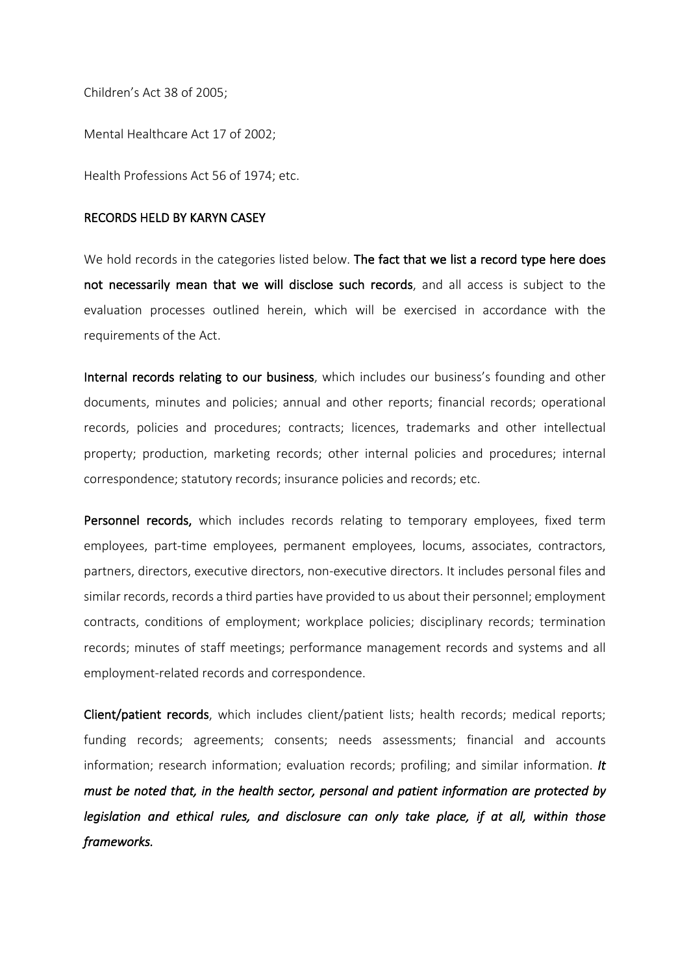Children's Act 38 of 2005;

Mental Healthcare Act 17 of 2002;

Health Professions Act 56 of 1974; etc.

#### RECORDS HELD BY KARYN CASEY

We hold records in the categories listed below. The fact that we list a record type here does not necessarily mean that we will disclose such records, and all access is subject to the evaluation processes outlined herein, which will be exercised in accordance with the requirements of the Act.

Internal records relating to our business, which includes our business's founding and other documents, minutes and policies; annual and other reports; financial records; operational records, policies and procedures; contracts; licences, trademarks and other intellectual property; production, marketing records; other internal policies and procedures; internal correspondence; statutory records; insurance policies and records; etc.

Personnel records, which includes records relating to temporary employees, fixed term employees, part-time employees, permanent employees, locums, associates, contractors, partners, directors, executive directors, non-executive directors. It includes personal files and similar records, records a third parties have provided to us about their personnel; employment contracts, conditions of employment; workplace policies; disciplinary records; termination records; minutes of staff meetings; performance management records and systems and all employment-related records and correspondence.

Client/patient records, which includes client/patient lists; health records; medical reports; funding records; agreements; consents; needs assessments; financial and accounts information; research information; evaluation records; profiling; and similar information. *It must be noted that, in the health sector, personal and patient information are protected by legislation and ethical rules, and disclosure can only take place, if at all, within those frameworks.*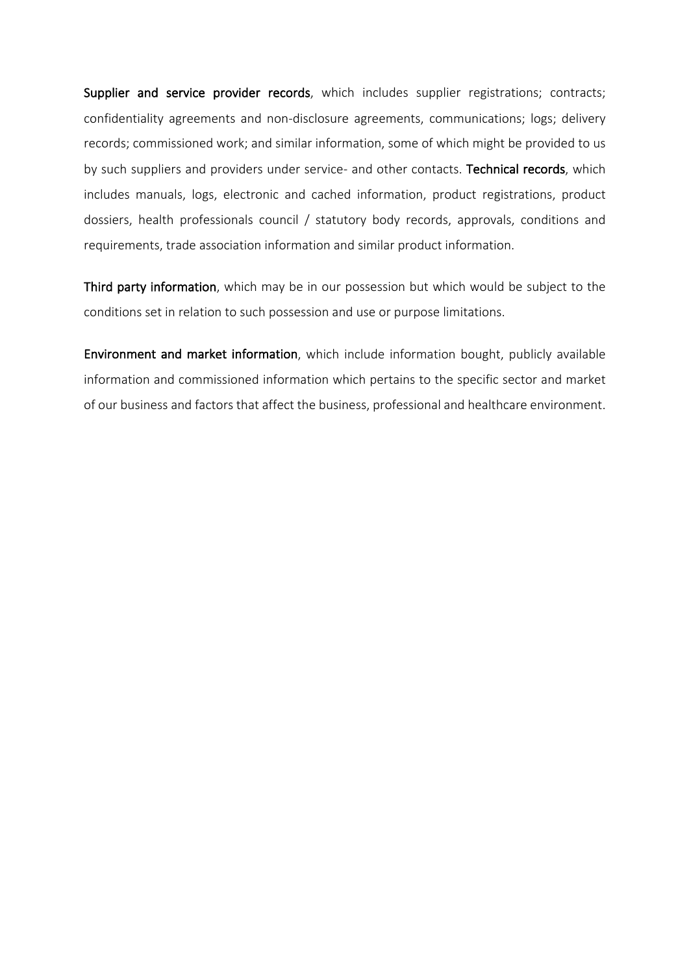Supplier and service provider records, which includes supplier registrations; contracts; confidentiality agreements and non-disclosure agreements, communications; logs; delivery records; commissioned work; and similar information, some of which might be provided to us by such suppliers and providers under service- and other contacts. Technical records, which includes manuals, logs, electronic and cached information, product registrations, product dossiers, health professionals council / statutory body records, approvals, conditions and requirements, trade association information and similar product information.

Third party information, which may be in our possession but which would be subject to the conditions set in relation to such possession and use or purpose limitations.

Environment and market information, which include information bought, publicly available information and commissioned information which pertains to the specific sector and market of our business and factors that affect the business, professional and healthcare environment.